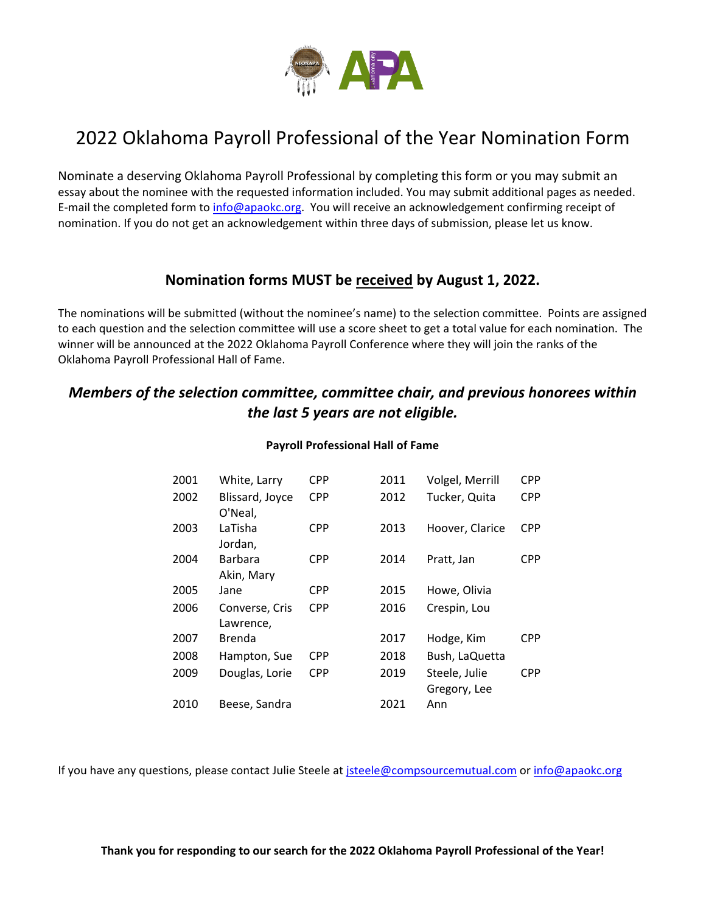

## 2022 Oklahoma Payroll Professional of the Year Nomination Form

Nominate a deserving Oklahoma Payroll Professional by completing this form or you may submit an essay about the nominee with the requested information included. You may submit additional pages as needed. E-mail the completed form to [info@apaokc.org.](mailto:info@apaokc.org) You will receive an acknowledgement confirming receipt of nomination. If you do not get an acknowledgement within three days of submission, please let us know.

### **Nomination forms MUST be received by August 1, 2022.**

The nominations will be submitted (without the nominee's name) to the selection committee. Points are assigned to each question and the selection committee will use a score sheet to get a total value for each nomination. The winner will be announced at the 2022 Oklahoma Payroll Conference where they will join the ranks of the Oklahoma Payroll Professional Hall of Fame.

### *Members of the selection committee, committee chair, and previous honorees within the last 5 years are not eligible.*

| 2001 | White, Larry                | <b>CPP</b> | 2011 | Volgel, Merrill               | <b>CPP</b> |
|------|-----------------------------|------------|------|-------------------------------|------------|
| 2002 | Blissard, Joyce<br>O'Neal,  | <b>CPP</b> | 2012 | Tucker, Quita                 | <b>CPP</b> |
| 2003 | LaTisha<br>Jordan,          | <b>CPP</b> | 2013 | Hoover, Clarice               | <b>CPP</b> |
| 2004 | Barbara<br>Akin, Mary       | CPP        | 2014 | Pratt, Jan                    | CPP        |
| 2005 | Jane                        | CPP        | 2015 | Howe, Olivia                  |            |
| 2006 | Converse, Cris<br>Lawrence, | <b>CPP</b> | 2016 | Crespin, Lou                  |            |
| 2007 | Brenda                      |            | 2017 | Hodge, Kim                    | <b>CPP</b> |
| 2008 | Hampton, Sue                | <b>CPP</b> | 2018 | Bush, LaQuetta                |            |
| 2009 | Douglas, Lorie              | <b>CPP</b> | 2019 | Steele, Julie<br>Gregory, Lee | CPP        |
| 2010 | Beese, Sandra               |            | 2021 | Ann                           |            |

#### **Payroll Professional Hall of Fame**

If you have any questions, please contact Julie Steele at [jsteele@compsourcemutual.com](mailto:jsteele@compsourcemutual.com) or [info@apaokc.org](mailto:info@apaokc.org)